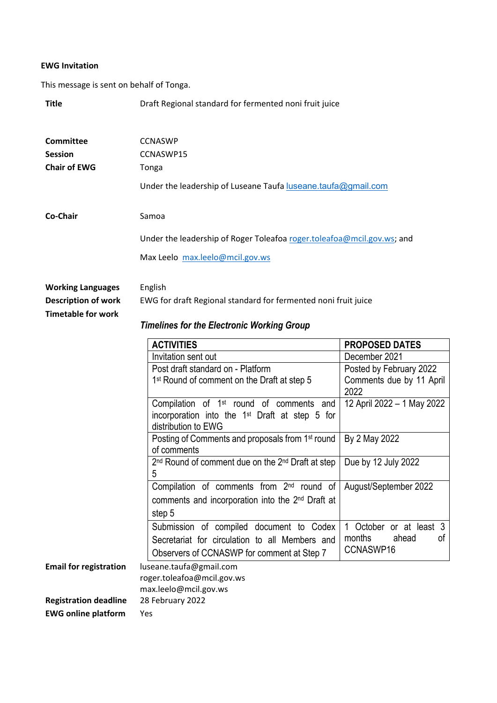## **EWG Invitation**

This message is sent on behalf of Tonga.

| <b>Title</b>                                            | Draft Regional standard for fermented noni fruit juice                 |  |
|---------------------------------------------------------|------------------------------------------------------------------------|--|
|                                                         |                                                                        |  |
| Committee                                               | <b>CCNASWP</b>                                                         |  |
| <b>Session</b>                                          | CCNASWP15                                                              |  |
| <b>Chair of EWG</b>                                     | Tonga                                                                  |  |
|                                                         | Under the leadership of Luseane Taufa luseane taufa@gmail.com          |  |
| Co-Chair                                                | Samoa                                                                  |  |
|                                                         | Under the leadership of Roger Toleafoa roger.toleafoa@mcil.gov.ws; and |  |
|                                                         | Max Leelo max.leelo@mcil.gov.ws                                        |  |
| <b>Working Languages</b>                                | English                                                                |  |
| <b>Description of work</b><br><b>Timetable for work</b> | EWG for draft Regional standard for fermented noni fruit juice         |  |
|                                                         | <b>Timelines for the Electronic Working Group</b>                      |  |

|                               | <b>ACTIVITIES</b>                                                         | <b>PROPOSED DATES</b>      |
|-------------------------------|---------------------------------------------------------------------------|----------------------------|
|                               | Invitation sent out                                                       | December 2021              |
|                               | Post draft standard on - Platform                                         | Posted by February 2022    |
|                               | 1 <sup>st</sup> Round of comment on the Draft at step 5                   | Comments due by 11 April   |
|                               |                                                                           | 2022                       |
|                               | Compilation of 1 <sup>st</sup> round of comments and                      | 12 April 2022 - 1 May 2022 |
|                               | incorporation into the 1 <sup>st</sup> Draft at step 5 for                |                            |
|                               | distribution to EWG                                                       |                            |
|                               | Posting of Comments and proposals from 1 <sup>st</sup> round              | By 2 May 2022              |
|                               | of comments                                                               |                            |
|                               | 2 <sup>nd</sup> Round of comment due on the 2 <sup>nd</sup> Draft at step | Due by 12 July 2022        |
|                               | 5                                                                         |                            |
|                               | Compilation of comments from 2 <sup>nd</sup> round of                     | August/September 2022      |
|                               | comments and incorporation into the 2 <sup>nd</sup> Draft at              |                            |
|                               | step 5                                                                    |                            |
|                               | Submission of compiled document to Codex                                  | or at least 3<br>October   |
|                               | Secretariat for circulation to all Members and                            | months<br>ahead<br>οf      |
|                               | Observers of CCNASWP for comment at Step 7                                | CCNASWP16                  |
| <b>Email for registration</b> | luseane.taufa@gmail.com                                                   |                            |
|                               | roger.toleafoa@mcil.gov.ws                                                |                            |
|                               | max.leelo@mcil.gov.ws                                                     |                            |
| <b>Registration deadline</b>  | 28 February 2022                                                          |                            |
| <b>EWG online platform</b>    | Yes                                                                       |                            |